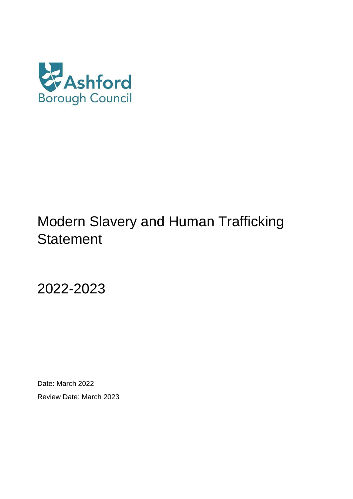

# Modern Slavery and Human Trafficking **Statement**

2022-2023

Date: March 2022 Review Date: March 2023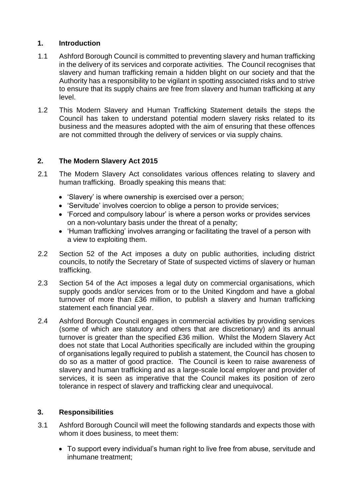## **1. Introduction**

- 1.1 Ashford Borough Council is committed to preventing slavery and human trafficking in the delivery of its services and corporate activities. The Council recognises that slavery and human trafficking remain a hidden blight on our society and that the Authority has a responsibility to be vigilant in spotting associated risks and to strive to ensure that its supply chains are free from slavery and human trafficking at any level.
- 1.2 This Modern Slavery and Human Trafficking Statement details the steps the Council has taken to understand potential modern slavery risks related to its business and the measures adopted with the aim of ensuring that these offences are not committed through the delivery of services or via supply chains.

## **2. The Modern Slavery Act 2015**

- 2.1 The Modern Slavery Act consolidates various offences relating to slavery and human trafficking. Broadly speaking this means that:
	- 'Slavery' is where ownership is exercised over a person;
	- 'Servitude' involves coercion to oblige a person to provide services;
	- 'Forced and compulsory labour' is where a person works or provides services on a non-voluntary basis under the threat of a penalty;
	- 'Human trafficking' involves arranging or facilitating the travel of a person with a view to exploiting them.
- 2.2 Section 52 of the Act imposes a duty on public authorities, including district councils, to notify the Secretary of State of suspected victims of slavery or human trafficking.
- 2.3 Section 54 of the Act imposes a legal duty on commercial organisations, which supply goods and/or services from or to the United Kingdom and have a global turnover of more than £36 million, to publish a slavery and human trafficking statement each financial year.
- 2.4 Ashford Borough Council engages in commercial activities by providing services (some of which are statutory and others that are discretionary) and its annual turnover is greater than the specified £36 million. Whilst the Modern Slavery Act does not state that Local Authorities specifically are included within the grouping of organisations legally required to publish a statement, the Council has chosen to do so as a matter of good practice. The Council is keen to raise awareness of slavery and human trafficking and as a large-scale local employer and provider of services, it is seen as imperative that the Council makes its position of zero tolerance in respect of slavery and trafficking clear and unequivocal.

## **3. Responsibilities**

- 3.1 Ashford Borough Council will meet the following standards and expects those with whom it does business, to meet them:
	- To support every individual's human right to live free from abuse, servitude and inhumane treatment;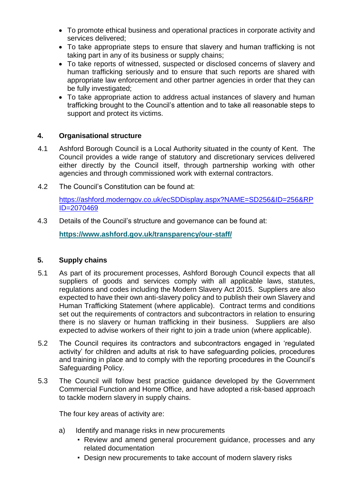- To promote ethical business and operational practices in corporate activity and services delivered;
- To take appropriate steps to ensure that slavery and human trafficking is not taking part in any of its business or supply chains;
- To take reports of witnessed, suspected or disclosed concerns of slavery and human trafficking seriously and to ensure that such reports are shared with appropriate law enforcement and other partner agencies in order that they can be fully investigated;
- To take appropriate action to address actual instances of slavery and human trafficking brought to the Council's attention and to take all reasonable steps to support and protect its victims.

## **4. Organisational structure**

- 4.1 Ashford Borough Council is a Local Authority situated in the county of Kent. The Council provides a wide range of statutory and discretionary services delivered either directly by the Council itself, through partnership working with other agencies and through commissioned work with external contractors.
- 4.2 The Council's Constitution can be found at:

[https://ashford.moderngov.co.uk/ecSDDisplay.aspx?NAME=SD256&ID=256&RP](https://ashford.moderngov.co.uk/ecSDDisplay.aspx?NAME=SD256&ID=256&RPID=2070469) [ID=2070469](https://ashford.moderngov.co.uk/ecSDDisplay.aspx?NAME=SD256&ID=256&RPID=2070469)

4.3 Details of the Council's structure and governance can be found at:

**<https://www.ashford.gov.uk/transparency/our-staff/>**

### **5. Supply chains**

- 5.1 As part of its procurement processes, Ashford Borough Council expects that all suppliers of goods and services comply with all applicable laws, statutes, regulations and codes including the Modern Slavery Act 2015. Suppliers are also expected to have their own anti-slavery policy and to publish their own Slavery and Human Trafficking Statement (where applicable). Contract terms and conditions set out the requirements of contractors and subcontractors in relation to ensuring there is no slavery or human trafficking in their business. Suppliers are also expected to advise workers of their right to join a trade union (where applicable).
- 5.2 The Council requires its contractors and subcontractors engaged in 'regulated activity' for children and adults at risk to have safeguarding policies, procedures and training in place and to comply with the reporting procedures in the Council's Safeguarding Policy.
- 5.3 The Council will follow best practice guidance developed by the Government Commercial Function and Home Office, and have adopted a risk-based approach to tackle modern slavery in supply chains.

The four key areas of activity are:

- a) Identify and manage risks in new procurements
	- Review and amend general procurement guidance, processes and any related documentation
	- Design new procurements to take account of modern slavery risks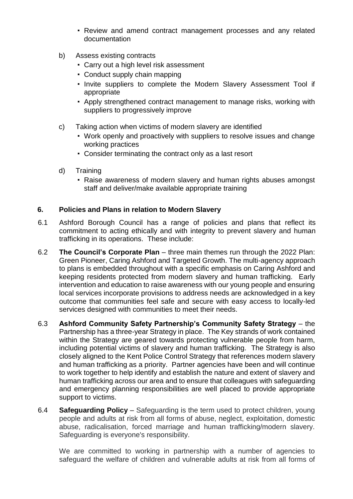- Review and amend contract management processes and any related documentation
- b) Assess existing contracts
	- Carry out a high level risk assessment
	- Conduct supply chain mapping
	- Invite suppliers to complete the Modern Slavery Assessment Tool if appropriate
	- Apply strengthened contract management to manage risks, working with suppliers to progressively improve
- c) Taking action when victims of modern slavery are identified
	- Work openly and proactively with suppliers to resolve issues and change working practices
	- Consider terminating the contract only as a last resort
- d) Training
	- Raise awareness of modern slavery and human rights abuses amongst staff and deliver/make available appropriate training

## **6. Policies and Plans in relation to Modern Slavery**

- 6.1 Ashford Borough Council has a range of policies and plans that reflect its commitment to acting ethically and with integrity to prevent slavery and human trafficking in its operations. These include:
- 6.2 **The Council's Corporate Plan**  three main themes run through the 2022 Plan: Green Pioneer, Caring Ashford and Targeted Growth. The multi-agency approach to plans is embedded throughout with a specific emphasis on Caring Ashford and keeping residents protected from modern slavery and human trafficking. Early intervention and education to raise awareness with our young people and ensuring local services incorporate provisions to address needs are acknowledged in a key outcome that communities feel safe and secure with easy access to locally-led services designed with communities to meet their needs.
- 6.3 **Ashford Community Safety Partnership's Community Safety Strategy**  the Partnership has a three-year Strategy in place. The Key strands of work contained within the Strategy are geared towards protecting vulnerable people from harm, including potential victims of slavery and human trafficking. The Strategy is also closely aligned to the Kent Police Control Strategy that references modern slavery and human trafficking as a priority. Partner agencies have been and will continue to work together to help identify and establish the nature and extent of slavery and human trafficking across our area and to ensure that colleagues with safeguarding and emergency planning responsibilities are well placed to provide appropriate support to victims.
- 6.4 **Safeguarding Policy**  Safeguarding is the term used to protect children, young people and adults at risk from all forms of abuse, neglect, exploitation, domestic abuse, radicalisation, forced marriage and human trafficking/modern slavery. Safeguarding is everyone's responsibility.

We are committed to working in partnership with a number of agencies to safeguard the welfare of children and vulnerable adults at risk from all forms of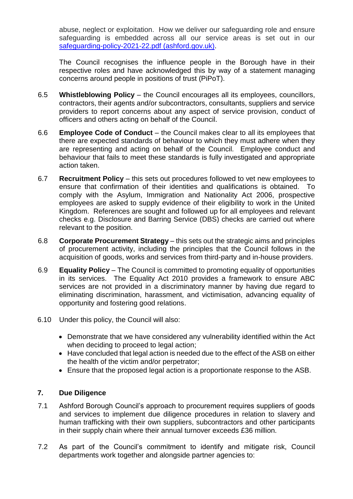abuse, neglect or exploitation. How we deliver our safeguarding role and ensure safeguarding is embedded across all our service areas is set out in our [safeguarding-policy-2021-22.pdf \(ashford.gov.uk\).](https://www.ashford.gov.uk/media/x2mdtwfv/safeguarding-policy-2021-22.pdf)

The Council recognises the influence people in the Borough have in their respective roles and have acknowledged this by way of a statement managing concerns around people in positions of trust (PiPoT).

- 6.5 **Whistleblowing Policy**  the Council encourages all its employees, councillors, contractors, their agents and/or subcontractors, consultants, suppliers and service providers to report concerns about any aspect of service provision, conduct of officers and others acting on behalf of the Council.
- 6.6 **Employee Code of Conduct**  the Council makes clear to all its employees that there are expected standards of behaviour to which they must adhere when they are representing and acting on behalf of the Council. Employee conduct and behaviour that fails to meet these standards is fully investigated and appropriate action taken.
- 6.7 **Recruitment Policy**  this sets out procedures followed to vet new employees to ensure that confirmation of their identities and qualifications is obtained. To comply with the Asylum, Immigration and Nationality Act 2006, prospective employees are asked to supply evidence of their eligibility to work in the United Kingdom. References are sought and followed up for all employees and relevant checks e.g. Disclosure and Barring Service (DBS) checks are carried out where relevant to the position.
- 6.8 **Corporate Procurement Strategy**  this sets out the strategic aims and principles of procurement activity, including the principles that the Council follows in the acquisition of goods, works and services from third-party and in-house providers.
- 6.9 **Equality Policy**  The Council is committed to promoting equality of opportunities in its services. The Equality Act 2010 provides a framework to ensure ABC services are not provided in a discriminatory manner by having due regard to eliminating discrimination, harassment, and victimisation, advancing equality of opportunity and fostering good relations.
- 6.10 Under this policy, the Council will also:
	- Demonstrate that we have considered any vulnerability identified within the Act when deciding to proceed to legal action;
	- Have concluded that legal action is needed due to the effect of the ASB on either the health of the victim and/or perpetrator;
	- Ensure that the proposed legal action is a proportionate response to the ASB.

## **7. Due Diligence**

- 7.1 Ashford Borough Council's approach to procurement requires suppliers of goods and services to implement due diligence procedures in relation to slavery and human trafficking with their own suppliers, subcontractors and other participants in their supply chain where their annual turnover exceeds £36 million.
- 7.2 As part of the Council's commitment to identify and mitigate risk, Council departments work together and alongside partner agencies to: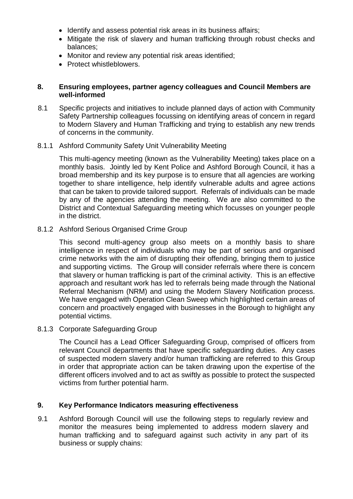- Identify and assess potential risk areas in its business affairs:
- Mitigate the risk of slavery and human trafficking through robust checks and balances;
- Monitor and review any potential risk areas identified;
- Protect whistleblowers.

#### **8. Ensuring employees, partner agency colleagues and Council Members are well-informed**

- 8.1 Specific projects and initiatives to include planned days of action with Community Safety Partnership colleagues focussing on identifying areas of concern in regard to Modern Slavery and Human Trafficking and trying to establish any new trends of concerns in the community.
- 8.1.1 Ashford Community Safety Unit Vulnerability Meeting

This multi-agency meeting (known as the Vulnerability Meeting) takes place on a monthly basis. Jointly led by Kent Police and Ashford Borough Council, it has a broad membership and its key purpose is to ensure that all agencies are working together to share intelligence, help identify vulnerable adults and agree actions that can be taken to provide tailored support. Referrals of individuals can be made by any of the agencies attending the meeting. We are also committed to the District and Contextual Safeguarding meeting which focusses on younger people in the district.

8.1.2 Ashford Serious Organised Crime Group

This second multi-agency group also meets on a monthly basis to share intelligence in respect of individuals who may be part of serious and organised crime networks with the aim of disrupting their offending, bringing them to justice and supporting victims. The Group will consider referrals where there is concern that slavery or human trafficking is part of the criminal activity. This is an effective approach and resultant work has led to referrals being made through the National Referral Mechanism (NRM) and using the Modern Slavery Notification process. We have engaged with Operation Clean Sweep which highlighted certain areas of concern and proactively engaged with businesses in the Borough to highlight any potential victims.

8.1.3 Corporate Safeguarding Group

The Council has a Lead Officer Safeguarding Group, comprised of officers from relevant Council departments that have specific safeguarding duties. Any cases of suspected modern slavery and/or human trafficking are referred to this Group in order that appropriate action can be taken drawing upon the expertise of the different officers involved and to act as swiftly as possible to protect the suspected victims from further potential harm.

### **9. Key Performance Indicators measuring effectiveness**

9.1 Ashford Borough Council will use the following steps to regularly review and monitor the measures being implemented to address modern slavery and human trafficking and to safeguard against such activity in any part of its business or supply chains: